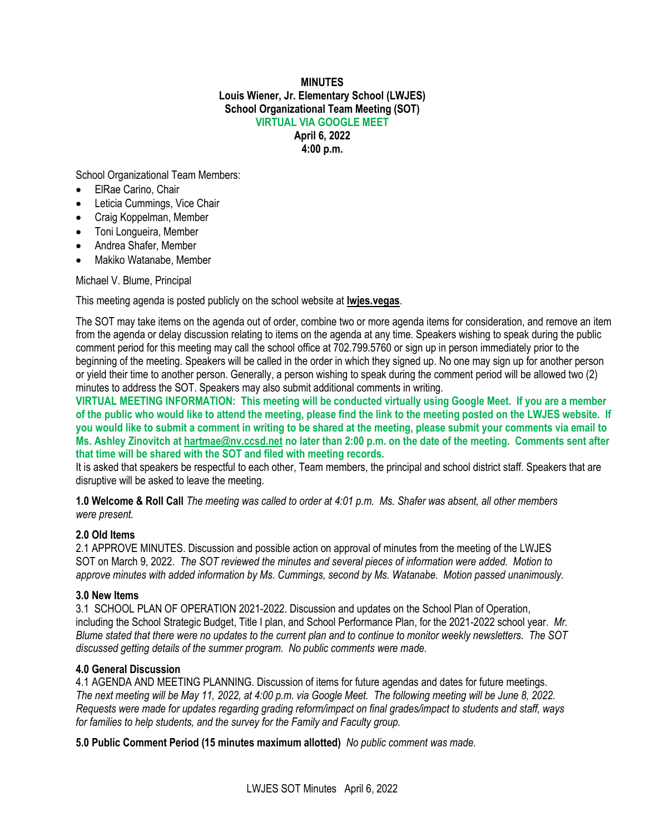## **MINUTES Louis Wiener, Jr. Elementary School (LWJES) School Organizational Team Meeting (SOT) VIRTUAL VIA GOOGLE MEET April 6, 2022**

**4:00 p.m.**

School Organizational Team Members:

- ElRae Carino, Chair
- Leticia Cummings, Vice Chair
- Craig Koppelman, Member
- Toni Longueira, Member
- Andrea Shafer, Member
- Makiko Watanabe, Member

Michael V. Blume, Principal

This meeting agenda is posted publicly on the school website at **lwjes.vegas**.

The SOT may take items on the agenda out of order, combine two or more agenda items for consideration, and remove an item from the agenda or delay discussion relating to items on the agenda at any time. Speakers wishing to speak during the public comment period for this meeting may call the school office at 702.799.5760 or sign up in person immediately prior to the beginning of the meeting. Speakers will be called in the order in which they signed up. No one may sign up for another person or yield their time to another person. Generally, a person wishing to speak during the comment period will be allowed two (2) minutes to address the SOT. Speakers may also submit additional comments in writing.

**VIRTUAL MEETING INFORMATION: This meeting will be conducted virtually using Google Meet. If you are a member of the public who would like to attend the meeting, please find the link to the meeting posted on the LWJES website. If you would like to submit a comment in writing to be shared at the meeting, please submit your comments via email to Ms. Ashley Zinovitch at [hartmae@nv.ccsd.net](mailto:hartmae@nv.ccsd.net) no later than 2:00 p.m. on the date of the meeting. Comments sent after that time will be shared with the SOT and filed with meeting records.**

It is asked that speakers be respectful to each other, Team members, the principal and school district staff. Speakers that are disruptive will be asked to leave the meeting.

**1.0 Welcome & Roll Call** *The meeting was called to order at 4:01 p.m. Ms. Shafer was absent, all other members were present.*

## **2.0 Old Items**

2.1 APPROVE MINUTES. Discussion and possible action on approval of minutes from the meeting of the LWJES SOT on March 9, 2022. *The SOT reviewed the minutes and several pieces of information were added. Motion to approve minutes with added information by Ms. Cummings, second by Ms. Watanabe. Motion passed unanimously.*

## **3.0 New Items**

3.1 SCHOOL PLAN OF OPERATION 2021-2022. Discussion and updates on the School Plan of Operation, including the School Strategic Budget, Title I plan, and School Performance Plan, for the 2021-2022 school year. *Mr. Blume stated that there were no updates to the current plan and to continue to monitor weekly newsletters. The SOT discussed getting details of the summer program. No public comments were made.*

## **4.0 General Discussion**

4.1 AGENDA AND MEETING PLANNING. Discussion of items for future agendas and dates for future meetings. *The next meeting will be May 11, 2022, at 4:00 p.m. via Google Meet. The following meeting will be June 8, 2022. Requests were made for updates regarding grading reform/impact on final grades/impact to students and staff, ways for families to help students, and the survey for the Family and Faculty group.*

**5.0 Public Comment Period (15 minutes maximum allotted)** *No public comment was made.*